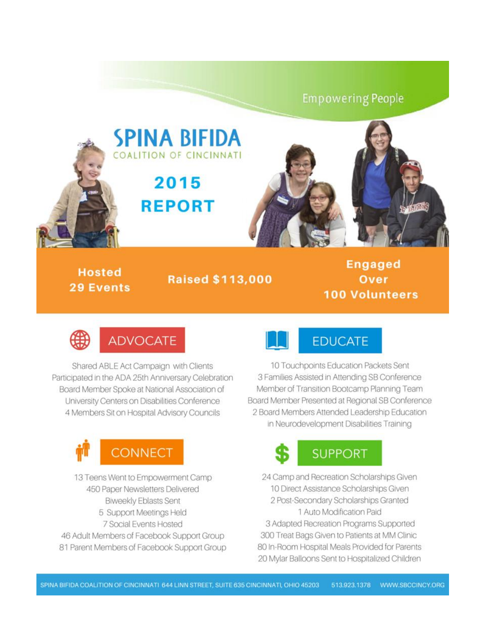### **Empowering People**



**Hosted 29 Events** 

**Raised \$113,000** 

**Engaged** Over **100 Volunteers** 



Shared ABLE Act Campaign with Clients Participated in the ADA 25th Anniversary Celebration Board Member Spoke at National Association of University Centers on Disabilities Conference 4 Members Sit on Hospital Advisory Councils



13 Teens Went to Empowerment Camp 450 Paper Newsletters Delivered **Biweekly Eblasts Sent** 5 Support Meetings Held 7 Social Events Hosted 46 Adult Members of Facebook Support Group 81 Parent Members of Facebook Support Group



10 Touchpoints Education Packets Sent 3 Families Assisted in Attending SB Conference Member of Transition Bootcamp Planning Team Board Member Presented at Regional SB Conference 2 Board Members Attended Leadership Education in Neurodevelopment Disabilities Training

# **SUPPORT**

24 Camp and Recreation Scholarships Given 10 Direct Assistance Scholarships Given 2 Post-Secondary Scholarships Granted 1 Auto Modification Paid 3 Adapted Recreation Programs Supported 300 Treat Bags Given to Patients at MM Clinic 80 In-Room Hospital Meals Provided for Parents 20 Mylar Balloons Sent to Hospitalized Children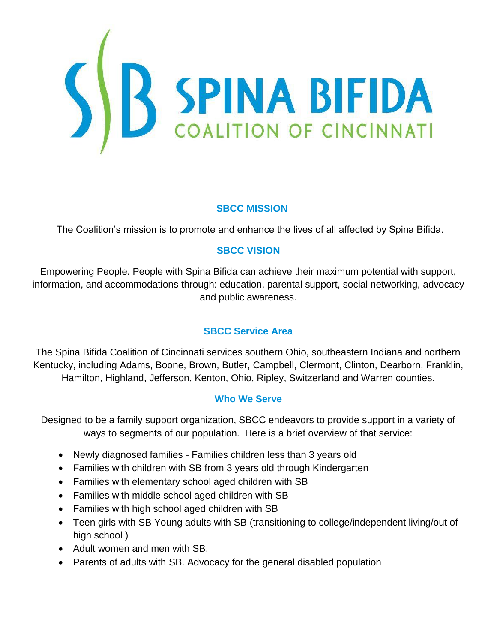

### **SBCC MISSION**

The Coalition's mission is to promote and enhance the lives of all affected by Spina Bifida.

### **SBCC VISION**

Empowering People. People with Spina Bifida can achieve their maximum potential with support, information, and accommodations through: education, parental support, social networking, advocacy and public awareness.

### **SBCC Service Area**

The Spina Bifida Coalition of Cincinnati services southern Ohio, southeastern Indiana and northern Kentucky, including Adams, Boone, Brown, Butler, Campbell, Clermont, Clinton, Dearborn, Franklin, Hamilton, Highland, Jefferson, Kenton, Ohio, Ripley, Switzerland and Warren counties.

#### **Who We Serve**

Designed to be a family support organization, SBCC endeavors to provide support in a variety of ways to segments of our population. Here is a brief overview of that service:

- Newly diagnosed families Families children less than 3 years old
- Families with children with SB from 3 years old through Kindergarten
- Families with elementary school aged children with SB
- Families with middle school aged children with SB
- Families with high school aged children with SB
- Teen girls with SB Young adults with SB (transitioning to college/independent living/out of high school )
- Adult women and men with SB.
- Parents of adults with SB. Advocacy for the general disabled population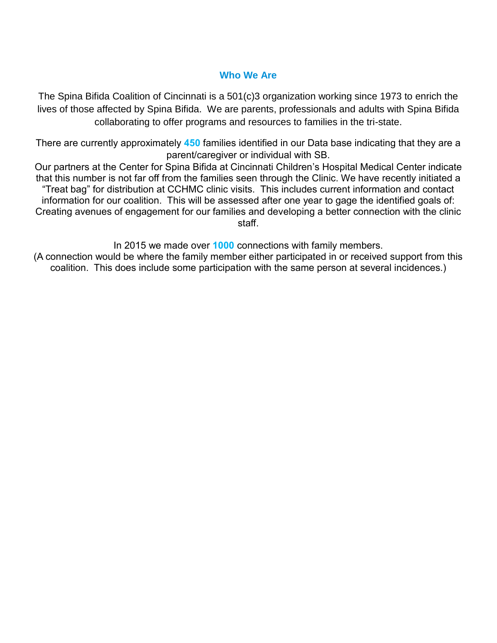### **Who We Are**

The Spina Bifida Coalition of Cincinnati is a 501(c)3 organization working since 1973 to enrich the lives of those affected by Spina Bifida. We are parents, professionals and adults with Spina Bifida collaborating to offer programs and resources to families in the tri-state.

There are currently approximately **450** families identified in our Data base indicating that they are a parent/caregiver or individual with SB.

Our partners at the Center for Spina Bifida at Cincinnati Children's Hospital Medical Center indicate that this number is not far off from the families seen through the Clinic. We have recently initiated a "Treat bag" for distribution at CCHMC clinic visits. This includes current information and contact information for our coalition. This will be assessed after one year to gage the identified goals of: Creating avenues of engagement for our families and developing a better connection with the clinic staff.

In 2015 we made over **1000** connections with family members.

(A connection would be where the family member either participated in or received support from this coalition. This does include some participation with the same person at several incidences.)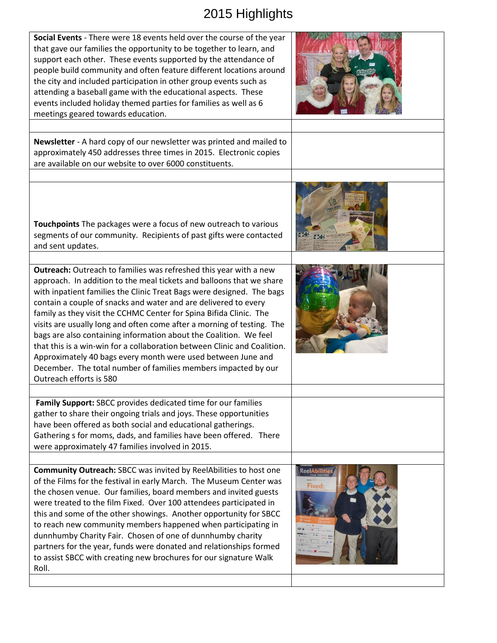## 2015 Highlights

| Social Events - There were 18 events held over the course of the year<br>that gave our families the opportunity to be together to learn, and<br>support each other. These events supported by the attendance of<br>people build community and often feature different locations around<br>the city and included participation in other group events such as<br>attending a baseball game with the educational aspects. These<br>events included holiday themed parties for families as well as 6<br>meetings geared towards education.                                                                                                                                                                                                                     |                        |
|------------------------------------------------------------------------------------------------------------------------------------------------------------------------------------------------------------------------------------------------------------------------------------------------------------------------------------------------------------------------------------------------------------------------------------------------------------------------------------------------------------------------------------------------------------------------------------------------------------------------------------------------------------------------------------------------------------------------------------------------------------|------------------------|
| Newsletter - A hard copy of our newsletter was printed and mailed to<br>approximately 450 addresses three times in 2015. Electronic copies<br>are available on our website to over 6000 constituents.                                                                                                                                                                                                                                                                                                                                                                                                                                                                                                                                                      |                        |
| Touchpoints The packages were a focus of new outreach to various<br>segments of our community. Recipients of past gifts were contacted<br>and sent updates.                                                                                                                                                                                                                                                                                                                                                                                                                                                                                                                                                                                                |                        |
| <b>Outreach:</b> Outreach to families was refreshed this year with a new<br>approach. In addition to the meal tickets and balloons that we share<br>with inpatient families the Clinic Treat Bags were designed. The bags<br>contain a couple of snacks and water and are delivered to every<br>family as they visit the CCHMC Center for Spina Bifida Clinic. The<br>visits are usually long and often come after a morning of testing. The<br>bags are also containing information about the Coalition. We feel<br>that this is a win-win for a collaboration between Clinic and Coalition.<br>Approximately 40 bags every month were used between June and<br>December. The total number of families members impacted by our<br>Outreach efforts is 580 |                        |
| Family Support: SBCC provides dedicated time for our families<br>gather to share their ongoing trials and joys. These opportunities<br>have been offered as both social and educational gatherings.<br>Gathering s for moms, dads, and families have been offered. There<br>were approximately 47 families involved in 2015.                                                                                                                                                                                                                                                                                                                                                                                                                               |                        |
| Community Outreach: SBCC was invited by ReelAbilities to host one<br>of the Films for the festival in early March. The Museum Center was<br>the chosen venue. Our families, board members and invited guests<br>were treated to the film Fixed. Over 100 attendees participated in<br>this and some of the other showings. Another opportunity for SBCC<br>to reach new community members happened when participating in<br>dunnhumby Charity Fair. Chosen of one of dunnhumby charity<br>partners for the year, funds were donated and relationships formed<br>to assist SBCC with creating new brochures for our signature Walk<br>Roll.                                                                                                                 | ReelAbilitie<br>Fixed: |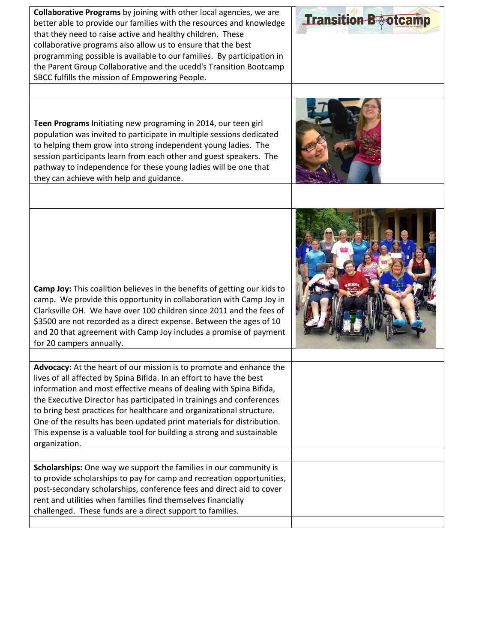| Collaborative Programs by joining with other local agencies, we are<br>better able to provide our families with the resources and knowledge<br>that they need to raise active and healthy children. These<br>collaborative programs also allow us to ensure that the best<br>programming possible is available to our families. By participation in<br>the Parent Group Collaborative and the ucedd's Transition Bootcamp<br>SBCC fulfills the mission of Empowering People.                                                         | <b>Transition B</b> otcamp |
|--------------------------------------------------------------------------------------------------------------------------------------------------------------------------------------------------------------------------------------------------------------------------------------------------------------------------------------------------------------------------------------------------------------------------------------------------------------------------------------------------------------------------------------|----------------------------|
| Teen Programs Initiating new programing in 2014, our teen girl<br>population was invited to participate in multiple sessions dedicated<br>to helping them grow into strong independent young ladies. The<br>session participants learn from each other and guest speakers. The<br>pathway to independence for these young ladies will be one that<br>they can achieve with help and guidance.                                                                                                                                        |                            |
| Camp Joy: This coalition believes in the benefits of getting our kids to<br>camp. We provide this opportunity in collaboration with Camp Joy in<br>Clarksville OH. We have over 100 children since 2011 and the fees of<br>\$3500 are not recorded as a direct expense. Between the ages of 10<br>and 20 that agreement with Camp Joy includes a promise of payment<br>for 20 campers annually.                                                                                                                                      |                            |
| Advocacy: At the heart of our mission is to promote and enhance the<br>lives of all affected by Spina Bifida. In an effort to have the best<br>information and most effective means of dealing with Spina Bifida,<br>the Executive Director has participated in trainings and conferences<br>to bring best practices for healthcare and organizational structure.<br>One of the results has been updated print materials for distribution.<br>This expense is a valuable tool for building a strong and sustainable<br>organization. |                            |
| Scholarships: One way we support the families in our community is<br>to provide scholarships to pay for camp and recreation opportunities,<br>post-secondary scholarships, conference fees and direct aid to cover<br>rent and utilities when families find themselves financially<br>challenged. These funds are a direct support to families.                                                                                                                                                                                      |                            |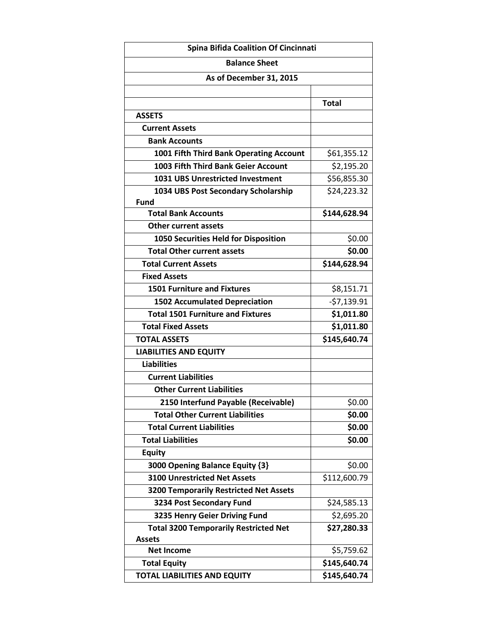| <b>Spina Bifida Coalition Of Cincinnati</b>   |              |  |
|-----------------------------------------------|--------------|--|
| <b>Balance Sheet</b>                          |              |  |
| As of December 31, 2015                       |              |  |
|                                               |              |  |
|                                               | <b>Total</b> |  |
| <b>ASSETS</b>                                 |              |  |
| <b>Current Assets</b>                         |              |  |
| <b>Bank Accounts</b>                          |              |  |
| 1001 Fifth Third Bank Operating Account       | \$61,355.12  |  |
| 1003 Fifth Third Bank Geier Account           | \$2,195.20   |  |
| <b>1031 UBS Unrestricted Investment</b>       | \$56,855.30  |  |
| 1034 UBS Post Secondary Scholarship           | \$24,223.32  |  |
| <b>Fund</b>                                   |              |  |
| <b>Total Bank Accounts</b>                    | \$144,628.94 |  |
| <b>Other current assets</b>                   |              |  |
| 1050 Securities Held for Disposition          | \$0.00       |  |
| <b>Total Other current assets</b>             | \$0.00       |  |
| <b>Total Current Assets</b>                   | \$144,628.94 |  |
| <b>Fixed Assets</b>                           |              |  |
| <b>1501 Furniture and Fixtures</b>            | \$8,151.71   |  |
| <b>1502 Accumulated Depreciation</b>          | $-57,139.91$ |  |
| <b>Total 1501 Furniture and Fixtures</b>      | \$1,011.80   |  |
| <b>Total Fixed Assets</b>                     | \$1,011.80   |  |
| <b>TOTAL ASSETS</b>                           | \$145,640.74 |  |
| <b>LIABILITIES AND EQUITY</b>                 |              |  |
| <b>Liabilities</b>                            |              |  |
| <b>Current Liabilities</b>                    |              |  |
| <b>Other Current Liabilities</b>              |              |  |
| 2150 Interfund Payable (Receivable)           | \$0.00       |  |
| <b>Total Other Current Liabilities</b>        | \$0.00       |  |
| <b>Total Current Liabilities</b>              | \$0.00       |  |
| <b>Total Liabilities</b>                      | \$0.00       |  |
| <b>Equity</b>                                 |              |  |
| 3000 Opening Balance Equity {3}               | \$0.00       |  |
| <b>3100 Unrestricted Net Assets</b>           | \$112,600.79 |  |
| <b>3200 Temporarily Restricted Net Assets</b> |              |  |
| 3234 Post Secondary Fund                      | \$24,585.13  |  |
| 3235 Henry Geier Driving Fund                 | \$2,695.20   |  |
| <b>Total 3200 Temporarily Restricted Net</b>  | \$27,280.33  |  |
| <b>Assets</b>                                 |              |  |
| <b>Net Income</b>                             | \$5,759.62   |  |
| <b>Total Equity</b>                           | \$145,640.74 |  |
| <b>TOTAL LIABILITIES AND EQUITY</b>           | \$145,640.74 |  |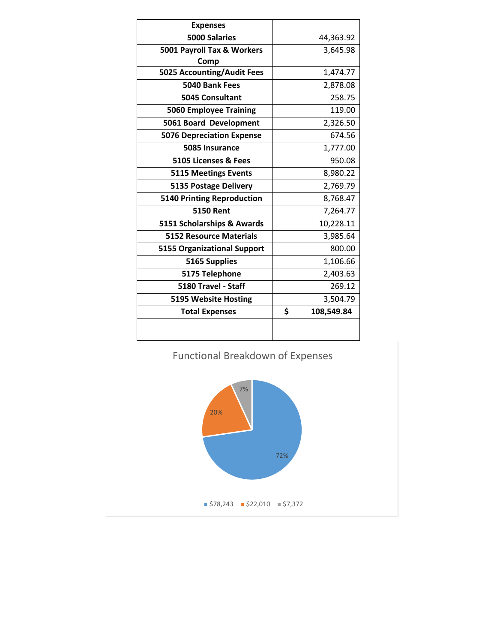| <b>Expenses</b>                    |                  |
|------------------------------------|------------------|
| <b>5000 Salaries</b>               | 44,363.92        |
| 5001 Payroll Tax & Workers         | 3,645.98         |
| Comp                               |                  |
| 5025 Accounting/Audit Fees         | 1,474.77         |
| 5040 Bank Fees                     | 2,878.08         |
| <b>5045 Consultant</b>             | 258.75           |
| <b>5060 Employee Training</b>      | 119.00           |
| 5061 Board Development             | 2,326.50         |
| <b>5076 Depreciation Expense</b>   | 674.56           |
| 5085 Insurance                     | 1,777.00         |
| 5105 Licenses & Fees               | 950.08           |
| <b>5115 Meetings Events</b>        | 8,980.22         |
| <b>5135 Postage Delivery</b>       | 2,769.79         |
| <b>5140 Printing Reproduction</b>  | 8,768.47         |
| <b>5150 Rent</b>                   | 7,264.77         |
| 5151 Scholarships & Awards         | 10,228.11        |
| <b>5152 Resource Materials</b>     | 3,985.64         |
| <b>5155 Organizational Support</b> | 800.00           |
| 5165 Supplies                      | 1,106.66         |
| 5175 Telephone                     | 2,403.63         |
| 5180 Travel - Staff                | 269.12           |
| 5195 Website Hosting               | 3,504.79         |
| <b>Total Expenses</b>              | \$<br>108,549.84 |
|                                    |                  |

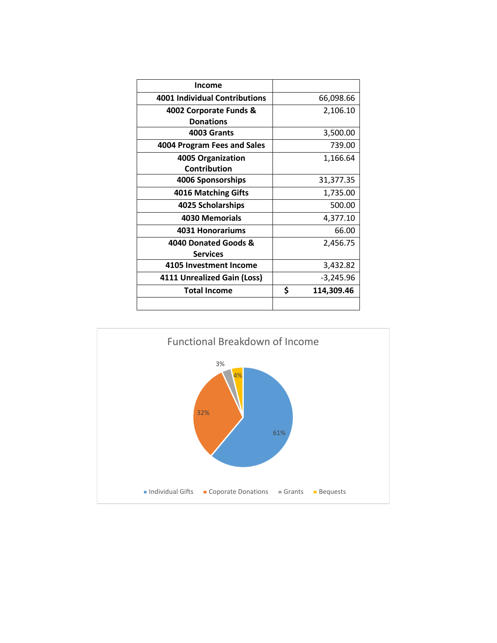| Income                               |                  |
|--------------------------------------|------------------|
| <b>4001 Individual Contributions</b> | 66,098.66        |
| 4002 Corporate Funds &               | 2,106.10         |
| <b>Donations</b>                     |                  |
| 4003 Grants                          | 3,500.00         |
| 4004 Program Fees and Sales          | 739.00           |
| 4005 Organization                    | 1,166.64         |
| <b>Contribution</b>                  |                  |
| 4006 Sponsorships                    | 31,377.35        |
| <b>4016 Matching Gifts</b>           | 1,735.00         |
| 4025 Scholarships                    | 500.00           |
| 4030 Memorials                       | 4,377.10         |
| 4031 Honorariums                     | 66.00            |
| 4040 Donated Goods &                 | 2,456.75         |
| <b>Services</b>                      |                  |
| 4105 Investment Income               | 3,432.82         |
| 4111 Unrealized Gain (Loss)          | -3,245.96        |
| <b>Total Income</b>                  | \$<br>114,309.46 |
|                                      |                  |

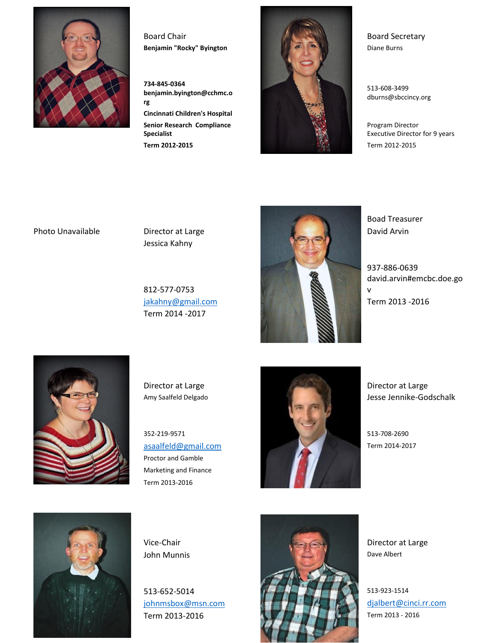

**734-845-0364 benjamin.byington@cchmc.o rg Cincinnati Children's Hospital Senior Research Compliance** 



513-608-3499 dburns@sbccincy.org

Program Director Executive Director for 9 years

Jessica Kahny

**Specialist**

812-577-0753 Term 2014 -2017



Boad Treasurer

937-886-0639 david.arvin#emcbc.doe.go v



Proctor and Gamble Marketing and Finance Term 2013-2016